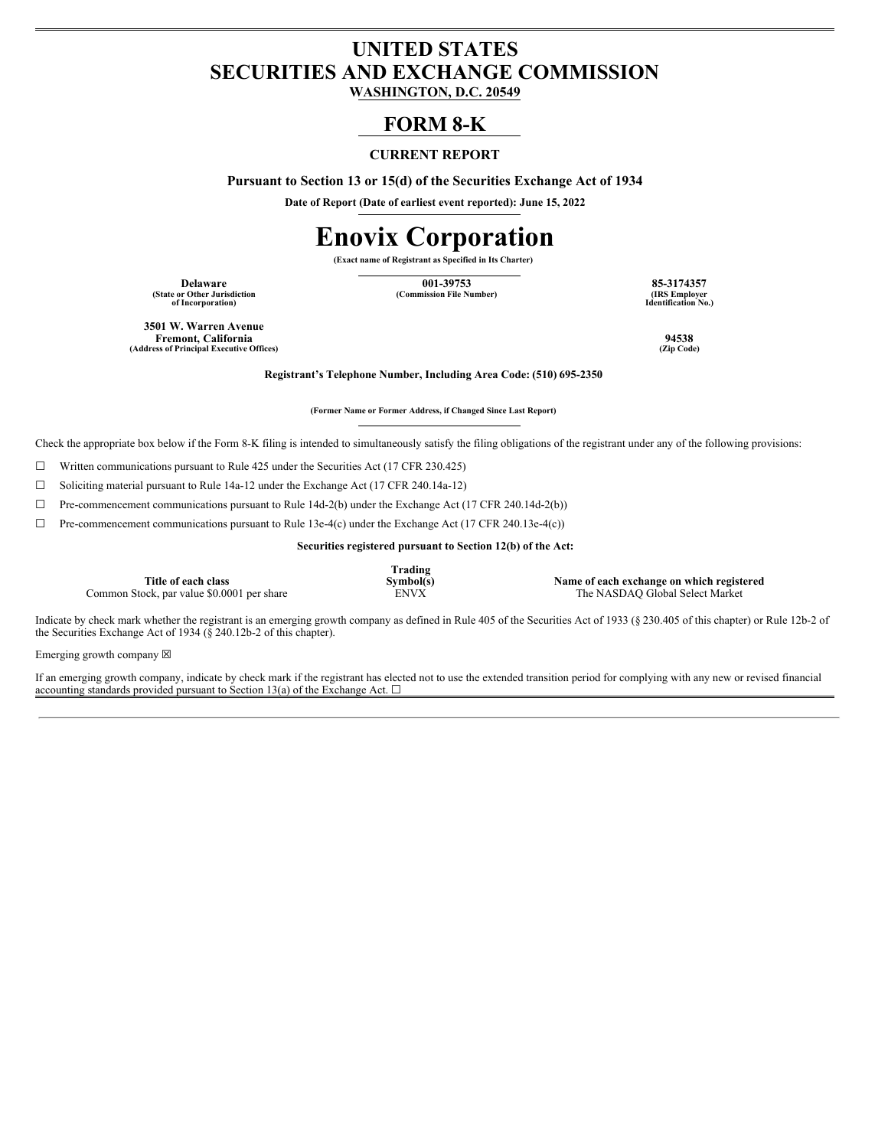## **UNITED STATES SECURITIES AND EXCHANGE COMMISSION**

**WASHINGTON, D.C. 20549**

## **FORM 8-K**

### **CURRENT REPORT**

**Pursuant to Section 13 or 15(d) of the Securities Exchange Act of 1934**

**Date of Report (Date of earliest event reported): June 15, 2022**

# **Enovix Corporation**

**(Exact name of Registrant as Specified in Its Charter)**

**(State or Other Jurisdiction of Incorporation)**

**Delaware 001-39753 85-3174357**  $(Commission File Number)$ 

**Identification No.)**

**3501 W. Warren Avenue Fremont, California 94538 (Address of Principal Executive Offices) (Zip Code)**

**Registrant's Telephone Number, Including Area Code: (510) 695-2350**

**(Former Name or Former Address, if Changed Since Last Report)**

Check the appropriate box below if the Form 8-K filing is intended to simultaneously satisfy the filing obligations of the registrant under any of the following provisions:

 $\Box$  Written communications pursuant to Rule 425 under the Securities Act (17 CFR 230.425)

☐ Soliciting material pursuant to Rule 14a-12 under the Exchange Act (17 CFR 240.14a-12)

☐ Pre-commencement communications pursuant to Rule 14d-2(b) under the Exchange Act (17 CFR 240.14d-2(b))

☐ Pre-commencement communications pursuant to Rule 13e-4(c) under the Exchange Act (17 CFR 240.13e-4(c))

**Securities registered pursuant to Section 12(b) of the Act:**

**Title of each class** Common Stock, par value \$0.0001 per share **Trading**

**Symbol(s)**<br> **Name of each exchange on which registered**<br> **ENVX** The NASDAQ Global Select Market

Indicate by check mark whether the registrant is an emerging growth company as defined in Rule 405 of the Securities Act of 1933 (§ 230.405 of this chapter) or Rule 12b-2 of the Securities Exchange Act of 1934 ( $\S$  240.12b-2 of this chapter).

Emerging growth company  $\boxtimes$ 

If an emerging growth company, indicate by check mark if the registrant has elected not to use the extended transition period for complying with any new or revised financial accounting standards provided pursuant to Section 13(a) of the Exchange Act.  $\square$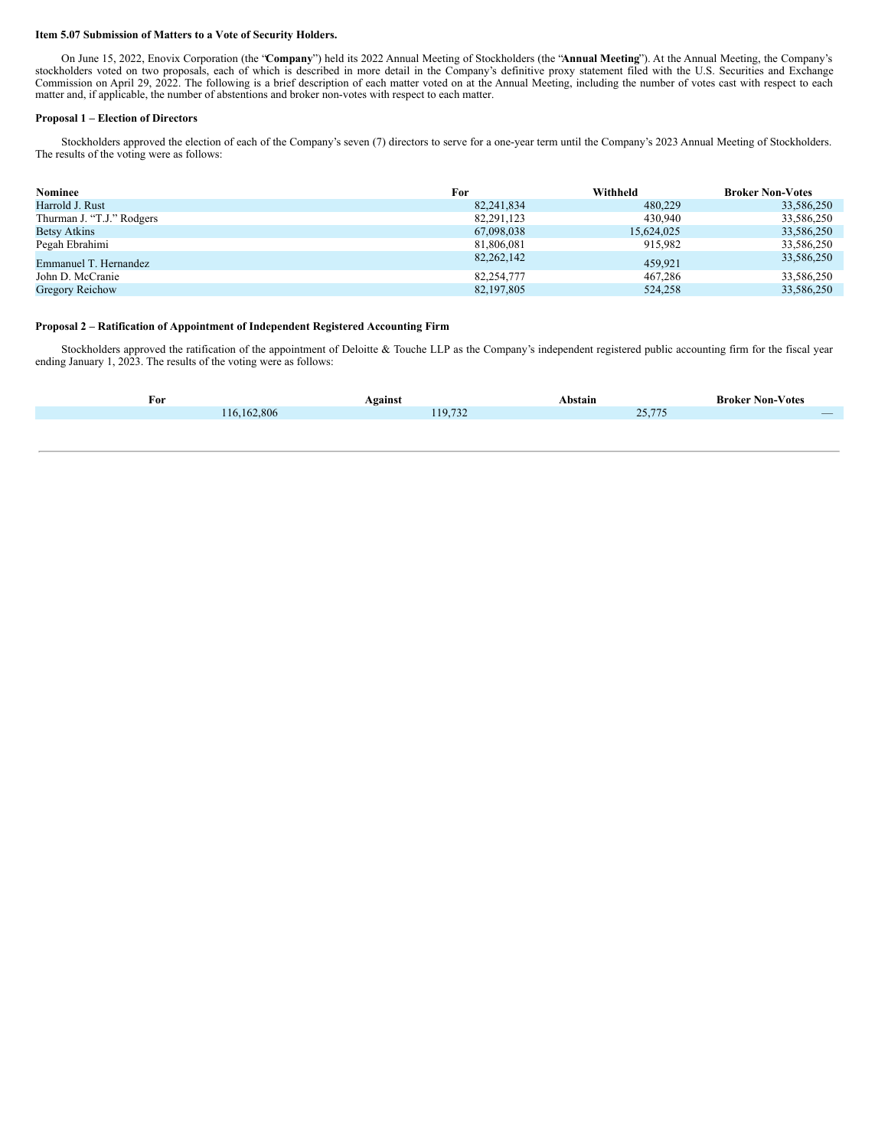#### **Item 5.07 Submission of Matters to a Vote of Security Holders.**

On June 15, 2022, Enovix Corporation (the "**Company**") held its 2022 Annual Meeting of Stockholders (the "**Annual Meeting**"). At the Annual Meeting, the Company's stockholders voted on two proposals, each of which is described in more detail in the Company's definitive proxy statement filed with the U.S. Securities and Exchange Commission on April 29, 2022. The following is a brief description of each matter voted on at the Annual Meeting, including the number of votes cast with respect to each matter and, if applicable, the number of abstentions and broker non-votes with respect to each matter.

#### **Proposal 1 – Election of Directors**

Stockholders approved the election of each of the Company's seven (7) directors to serve for a one-year term until the Company's 2023 Annual Meeting of Stockholders. The results of the voting were as follows:

| Nominee                   | For          | Withheld   | <b>Broker Non-Votes</b> |
|---------------------------|--------------|------------|-------------------------|
| Harrold J. Rust           | 82, 241, 834 | 480,229    | 33,586,250              |
| Thurman J. "T.J." Rodgers | 82.291.123   | 430,940    | 33,586,250              |
| <b>Betsy Atkins</b>       | 67,098,038   | 15.624.025 | 33,586,250              |
| Pegah Ebrahimi            | 81,806,081   | 915,982    | 33,586,250              |
| Emmanuel T. Hernandez     | 82, 262, 142 | 459.921    | 33,586,250              |
| John D. McCranie          | 82,254,777   | 467.286    | 33,586,250              |
| Gregory Reichow           | 82, 197, 805 | 524,258    | 33,586,250              |

#### **Proposal 2 – Ratification of Appointment of Independent Registered Accounting Firm**

Stockholders approved the ratification of the appointment of Deloitte & Touche LLP as the Company's independent registered public accounting firm for the fiscal year ending January 1, 2023. The results of the voting were as follows:

| For |               | Against | Abstain | <b>Broker Non-Votes</b>  |
|-----|---------------|---------|---------|--------------------------|
|     | 116, 162, 806 | 119,732 | 25,775  | $\overline{\phantom{a}}$ |
|     |               |         |         |                          |